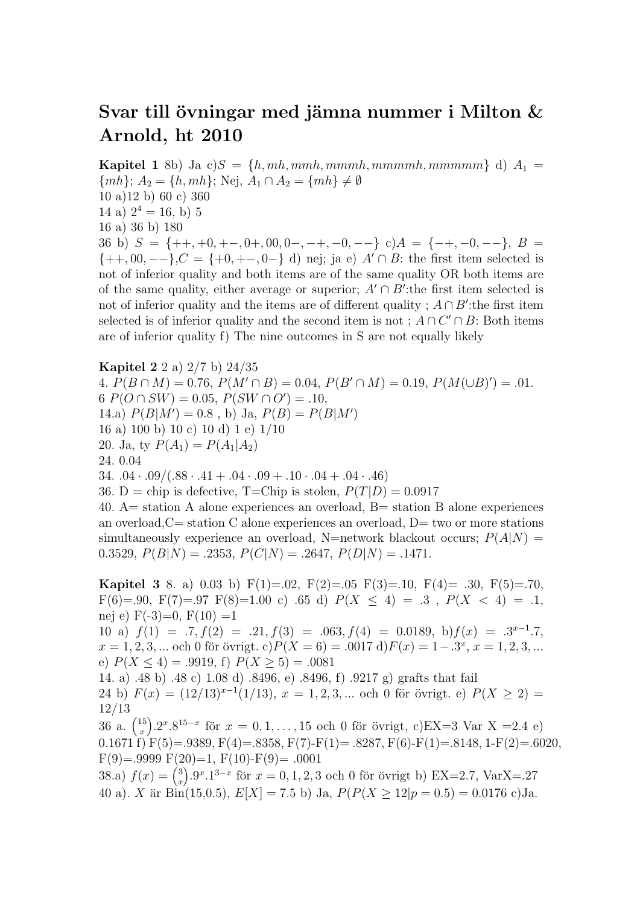## Svar till övningar med jämna nummer i Milton  $&$ Arnold, ht 2010

**Kapitel 1** 8b) Ja c) $S = \{h, mh, mmh, mmmh, mmmmh, mmmmm\}$  d)  $A_1 =$  $\{mh\}; A_2 = \{h, mh\};$  Nej,  $A_1 \cap A_2 = \{mh\} \neq \emptyset$ 10 a)12 b) 60 c) 360 14 a)  $2^4 = 16$ , b) 5 16 a) 36 b) 180 36 b)  $S = \{+, +0, +0, 0, 0, 0, -, -+,-0, --\}$  c) $A = \{-, -0, -\}$ ,  $B =$  ${+, 00, --}$ ,  $C = {+, 0, +-, 0-} d$  nej; ja e)  $A' \cap B$ : the first item selected is not of inferior quality and both items are of the same quality OR both items are of the same quality, either average or superior;  $A' \cap B'$ : the first item selected is not of inferior quality and the items are of different quality ;  $A \cap B'$ :the first item selected is of inferior quality and the second item is not;  $A \cap C' \cap B$ : Both items are of inferior quality f) The nine outcomes in S are not equally likely

Kapitel 2 2 a) 2/7 b) 24/35 4.  $P(B \cap M) = 0.76, P(M' \cap B) = 0.04, P(B' \cap M) = 0.19, P(M(\cup B)') = .01.$ 6  $P(O \cap SW) = 0.05, P(SW \cap O') = .10,$ 14.a)  $P(B|M') = 0.8$ , b) Ja,  $P(B) = P(B|M')$ 16 a) 100 b) 10 c) 10 d) 1 e) 1/10 20. Ja, ty  $P(A_1) = P(A_1|A_2)$ 24. 0.04 34.  $.04 \cdot .09 / (.88 \cdot .41 + .04 \cdot .09 + .10 \cdot .04 + .04 \cdot .46)$ 36. D = chip is defective, T=Chip is stolen,  $P(T|D)=0.0917$ 40.  $A=$  station A alone experiences an overload,  $B=$  station B alone experiences an overload,  $C=$  station C alone experiences an overload,  $D=$  two or more stations simultaneously experience an overload, N=network blackout occurs;  $P(A|N)$  =

0.3529,  $P(B|N) = .2353$ ,  $P(C|N) = .2647$ ,  $P(D|N) = .1471$ .

**Kapitel 3** 8. a) 0.03 b) F(1)=.02, F(2)=.05 F(3)=.10, F(4)= .30, F(5)=.70, F(6)=.90, F(7)=.97 F(8)=1.00 c) .65 d)  $P(X \le 4) = .3$ ,  $P(X < 4) = .1$ , nej e)  $F(-3)=0, F(10)=1$ 10 a)  $f(1) = .7, f(2) = .21, f(3) = .063, f(4) = 0.0189, b) f(x) = .3^{x-1} .7,$  $x = 1, 2, 3, ...$  och 0 för övrigt. c) $P(X = 6) = .0017$  d) $F(x) = 1-.3^x, x = 1, 2, 3, ...$ e)  $P(X \le 4) = .9919$ , f)  $P(X \ge 5) = .0081$ 14. a) .48 b) .48 c) 1.08 d) .8496, e) .8496, f) .9217 g) grafts that fail 24 b)  $F(x) = (12/13)^{x-1}(1/13), x = 1, 2, 3, ...$  och 0 för övrigt. e)  $P(X \ge 2) =$ 12/13  $36$  a.  $\binom{15}{x}$ x ).2<sup>x</sup>.8<sup>15−x</sup> för  $x = 0, 1, ..., 15$  och 0 för övrigt, c)EX=3 Var X =2.4 e) 0.1671 f)  $F(5) = .9389, F(4) = .8358, F(7) - F(1) = .8287, F(6) - F(1) = .8148, 1 - F(2) = .6020,$  $F(9)=.9999 F(20)=1, F(10)-F(9)=.0001$ 38.a)  $f(x) = \binom{3}{x}$ x  $.9^{x}.1^{3-x}$  för  $x = 0, 1, 2, 3$  och 0 för övrigt b) EX=2.7, VarX=.27 40 a). X är Bin(15,0.5),  $E[X] = 7.5$  b) Ja,  $P(P(X \ge 12|p = 0.5) = 0.0176$  c)Ja.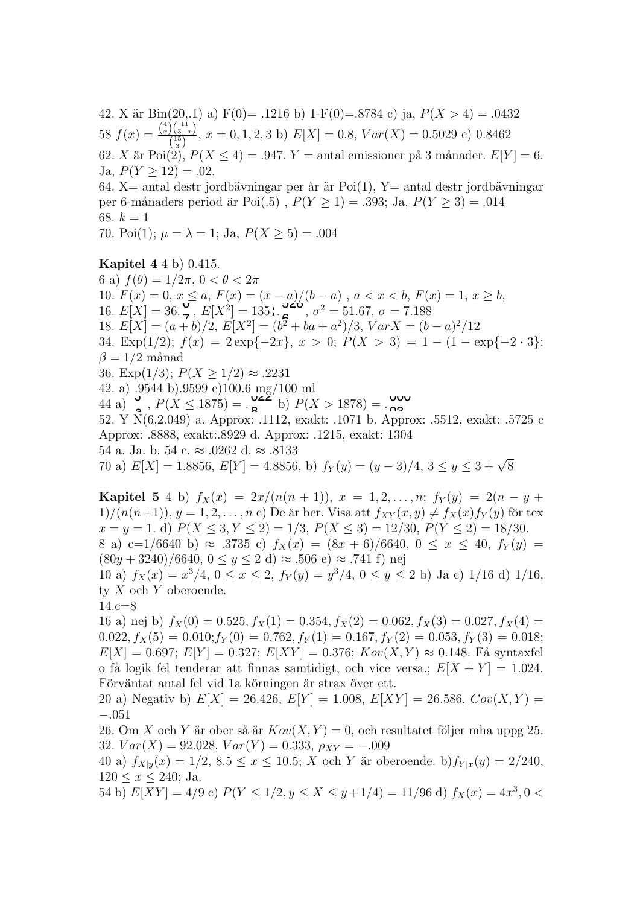42. X är Bin(20,.1) a) F(0)= .1216 b) 1-F(0)= .8784 c) ja,  $P(X > 4) = .0432$ 58  $f(x) = \frac{\binom{4}{x}\binom{11}{3-x}}{\binom{15}{5}}$  $\frac{f(3-x)}{15}$ ,  $x = 0, 1, 2, 3$  b)  $E[X] = 0.8$ ,  $Var(X) = 0.5029$  c) 0.8462 62. X är Poi(2),  $P(X \le 4) = .947$ .  $Y =$  antal emissioner på 3 månader.  $E[Y] = 6$ . Ja,  $P(Y > 12) = .02$ . 64. X= antal destr jordbävningar per år är Poi(1), Y= antal destr jordbävningar per 6-månaders period är Poi $(.5)$ ,  $P(Y \ge 1) = .393$ ; Ja,  $P(Y \ge 3) = .014$ 

68.  $k = 1$ 

70. Poi(1);  $\mu = \lambda = 1$ ; Ja,  $P(X > 5) = .004$ 

Kapitel 4 4 b) 0.415. 6 a)  $f(\theta)=1/2\pi$ ,  $0 < \theta < 2\pi$ 10.  $F(x) = 0, x \le a, F(x) = (x - a)/(b - a), a < x < b, F(x) = 1, x \ge b,$ 16.  $E[X] = 36.\frac{6}{7}, E[X^2] = 135.25$ ,  $\sigma^2 = 51.67, \sigma = 7.188$ 18.  $E[X] = (a + b)/2$ ,  $E[X^2] = (b^2 + ba + a^2)/3$ ,  $VarX = (b - a)^2/12$ 34. Exp(1/2);  $f(x) = 2 \exp\{-2x\}, x > 0$ ;  $P(X > 3) = 1 - (1 - \exp\{-2 \cdot 3\})$ ;  $\beta = 1/2$  månad 36. Exp(1/3);  $P(X \ge 1/2) \approx .2231$ 42. a) .9544 b).9599 c)100.6 mg/100 ml  $P(X \le 1875) = \frac{0.001 \text{ m/s}}{2}$  b)  $P(X > 1878) = \frac{0.000 \text{ m}}{2}$  $52. \text{ Y } \mathcal{N}(6,2.049) \text{ a. Approx: } .1112, \text{ exakt: } .1071 \text{ b. Approx: } .5512, \text{ exakt: } .5725 \text{ c.}$ Approx: .8888, exakt:.8929 d. Approx: .1215, exakt: 1304 54 a. Ja. b. 54 c.  $\approx$  .0262 d.  $\approx$  .8133 70 a)  $E[X] = 1.8856, E[Y] = 4.8856, b) f_Y(y) = (y - 3)/4, 3 \le y \le 3 + \sqrt{8}$  $\mathcal{L} = \frac{1}{2}$ <br>  $\mathcal{L} = \frac{1}{2}$ <br>  $\mathcal{L} = \frac{1}{2}$ <br>  $\mathcal{L} = \frac{1}{2}$ <br>  $\mathcal{L} = \frac{1}{2}$ 

**Kapitel 5** 4 b)  $f_X(x) = 2x/(n(n + 1)), x = 1, 2, ..., n; f_Y(y) = 2(n - y + y)$  $1/(n(n+1)), y = 1, 2, \ldots, n$  c) De är ber. Visa att  $f_{XY}(x, y) \neq f_X(x) f_Y(y)$  för tex  $x = y = 1$ . d)  $P(X \le 3, Y \le 2) = 1/3$ ,  $P(X \le 3) = 12/30$ ,  $P(Y \le 2) = 18/30$ . 8 a) c=1/6640 b)  $\approx$  .3735 c)  $f_X(x) = (8x+6)/6640, 0 \le x \le 40, f_Y(y) =$  $(80y + 3240)/6640, 0 \le y \le 2 d$   $\approx .506 e$   $\approx .741 f$  nej

10 a)  $f_X(x) = x^3/4$ ,  $0 \le x \le 2$ ,  $f_Y(y) = y^3/4$ ,  $0 \le y \le 2$  b) Ja c) 1/16 d) 1/16, ty  $X$  och  $Y$  oberoende.

14.c=8

16 a) nej b)  $f_X(0) = 0.525, f_X(1) = 0.354, f_X(2) = 0.062, f_X(3) = 0.027, f_X(4) =$  $0.022, f_X(5) = 0.010; f_Y(0) = 0.762, f_Y(1) = 0.167, f_Y(2) = 0.053, f_Y(3) = 0.018;$  $E[X]=0.697; E[Y] = 0.327; E[XY] = 0.376; Kov(X, Y) \approx 0.148.$  Få syntaxfel o få logik fel tenderar att finnas samtidigt, och vice versa.;  $E[X+Y] = 1.024$ . Förväntat antal fel vid 1a körningen är strax över ett.

20 a) Negativ b)  $E[X] = 26.426, E[Y] = 1.008, E[XY] = 26.586, Cov(X, Y) =$ −.051

26. Om X och Y är ober så är  $Kov(X, Y) = 0$ , och resultatet följer mha uppg 25. 32.  $Var(X) = 92.028$ ,  $Var(Y) = 0.333$ ,  $\rho_{XY} = -.009$ 

40 a)  $f_{X|y}(x)=1/2$ ,  $8.5 \le x \le 10.5$ ; X och Y är oberoende. b) $f_{Y|x}(y)=2/240$ ,  $120 \le x \le 240$ ; Ja.

54 b)  $E[XY] = 4/9$  c)  $P(Y \le 1/2, y \le X \le y+1/4) = 11/96$  d)  $f_X(x) = 4x^3, 0 <$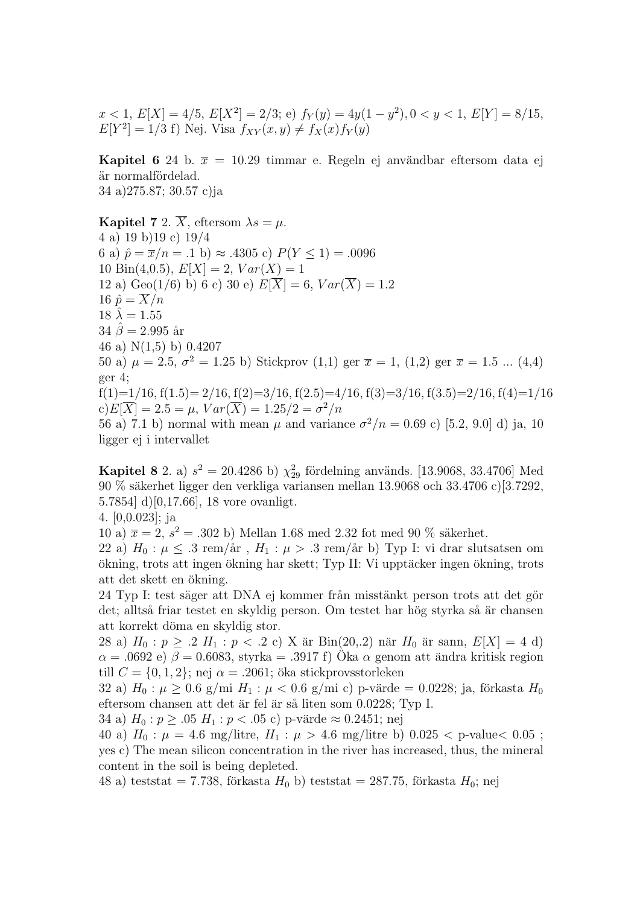$x < 1, E[X] = 4/5, E[X^2] = 2/3$ ; e)  $f_Y(y) = 4y(1 - y^2), 0 < y < 1, E[Y] = 8/15$ ,  $E[Y^2] = 1/3$  f) Nej. Visa  $f_{XY}(x, y) \neq f_X(x) f_Y(y)$ 

**Kapitel 6** 24 b.  $\bar{x} = 10.29$  timmar e. Regeln ej användbar eftersom data ej är normalfördelad. 34 a) 275.87; 30.57 c)ja

**Kapitel 7** 2.  $\overline{X}$ , eftersom  $\lambda s = \mu$ . 4 a) 19 b) 19 c)  $19/4$ 6 a)  $\hat{p} = \bar{x}/n = .1$  b)  $\approx .4305$  c)  $P(Y \le 1) = .0096$ 10 Bin(4,0.5),  $E[X] = 2$ ,  $Var(X) = 1$ 12 a) Geo(1/6) b) 6 c) 30 e)  $E[\overline{X}] = 6$ ,  $Var(\overline{X}) = 1.2$ 16  $\hat{p} = \overline{X}/n$  $18 \lambda = 1.55$  $34 \hat{\beta} = 2.995 \text{ år}$ 46 a)  $N(1,5)$  b) 0.4207 50 a)  $\mu = 2.5$ ,  $\sigma^2 = 1.25$  b) Stickprov (1,1) ger  $\bar{x} = 1$ , (1,2) ger  $\bar{x} = 1.5$  ... (4,4)  $ger 4$ ;  $f(1)=1/16$ ,  $f(1.5)=2/16$ ,  $f(2)=3/16$ ,  $f(2.5)=4/16$ ,  $f(3)=3/16$ ,  $f(3.5)=2/16$ ,  $f(4)=1/16$ c)  $E[\overline{X}] = 2.5 = \mu$ ,  $Var(\overline{X}) = 1.25/2 = \sigma^2/n$ 

56 a) 7.1 b) normal with mean  $\mu$  and variance  $\sigma^2/n = 0.69$  c) [5.2, 9.0] d) ja, 10 ligger ej i intervallet

**Kapitel 8** 2. a)  $s^2 = 20.4286$  b)  $\chi^2_{29}$  fördelning används. [13.9068, 33.4706] Med 90 % säkerhet ligger den verkliga variansen mellan 13.9068 och 33.4706 c)[3.7292, 5.7854 d)  $[0,17.66]$ , 18 vore ovanligt.

4.  $[0,0.023]$ ; ja

10 a)  $\bar{x} = 2$ ,  $s^2 = .302$  b) Mellan 1.68 med 2.32 fot med 90 % säkerhet.

22 a)  $H_0: \mu \leq .3$  rem/år,  $H_1: \mu > .3$  rem/år b) Typ I: vi drar slutsatsen om ökning, trots att ingen ökning har skett; Typ II: Vi upptäcker ingen ökning, trots att det skett en ökning.

24 Typ I: test säger att DNA ej kommer från misstänkt person trots att det gör det; alltså friar testet en skyldig person. Om testet har hög styrka så är chansen att korrekt döma en skyldig stor.

28 a)  $H_0: p \geq .2$   $H_1: p < .2$  c) X är Bin(20,.2) när  $H_0$  är sann,  $E[X] = 4$  d)  $\alpha = .0692$ e)  $\beta = 0.6083,$ styrka = .3917 f)<br> Ök<br/>a $\alpha$ genom att ändra kritisk region till  $C = \{0, 1, 2\}$ ; nej  $\alpha = .2061$ ; öka stickprovsstorleken

32 a)  $H_0: \mu \ge 0.6$  g/mi  $H_1: \mu < 0.6$  g/mi c) p-värde = 0.0228; ja, förkasta  $H_0$ eftersom chansen att det är fel är så liten som 0.0228; Typ I.

34 a)  $H_0: p \ge 0.05 H_1: p < 0.05$  c) p-värde  $\approx 0.2451$ ; nej

40 a)  $H_0: \mu = 4.6$  mg/litre,  $H_1: \mu > 4.6$  mg/litre b)  $0.025 <$  p-value $< 0.05$ ; yes c) The mean silicon concentration in the river has increased, thus, the mineral content in the soil is being depleted.

48 a) teststat = 7.738, förkasta  $H_0$  b) teststat = 287.75, förkasta  $H_0$ ; nej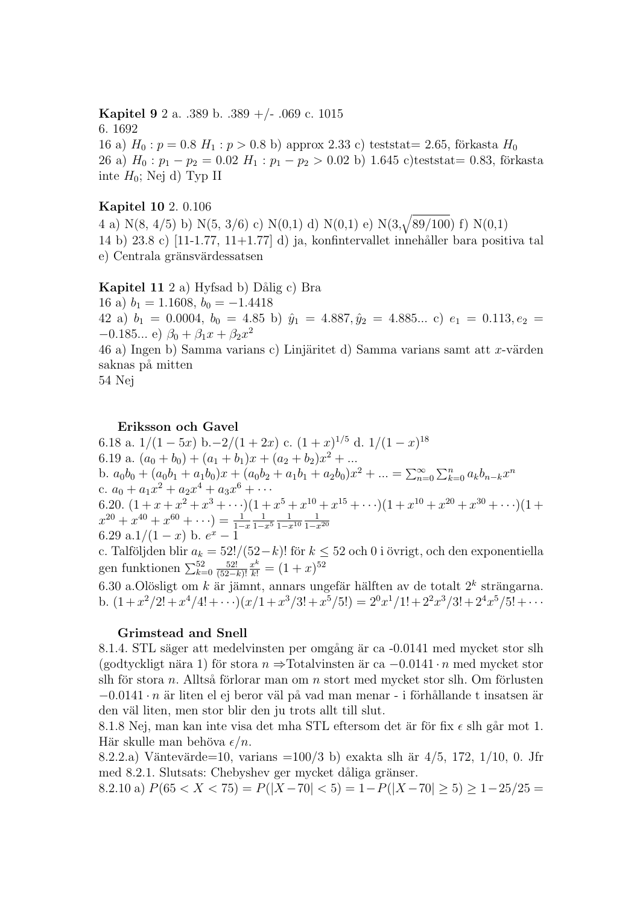**Kapitel 9** 2 a. .389 b. .389 +/- .069 c. 1015 6.1692 16 a)  $H_0: p = 0.8$   $H_1: p > 0.8$  b) approx 2.33 c) tests tat = 2.65, förkasta  $H_0$ 26 a)  $H_0: p_1 - p_2 = 0.02$   $H_1: p_1 - p_2 > 0.02$  b) 1.645 c)teststat= 0.83, förkasta inte  $H_0$ ; Nej d) Typ II

## **Kapitel 10** 2. 0.106

4 a) N(8, 4/5) b) N(5, 3/6) c) N(0,1) d) N(0,1) e) N(3, $\sqrt{89/100}$ ) f) N(0,1) 14 b)  $23.8$  c)  $[11-1.77, 11+1.77]$  d) ja, konfintervallet innehåller bara positiva tal e) Centrala gränsvärdessatsen

Kapitel 11 2 a) Hyfsad b) Dålig c) Bra

16 a)  $b_1 = 1.1608$ ,  $b_0 = -1.4418$ 42 a)  $b_1 = 0.0004$ ,  $b_0 = 4.85$  b)  $\hat{y}_1 = 4.887$ ,  $\hat{y}_2 = 4.885...$  c)  $e_1 = 0.113$ ,  $e_2 =$  $-0.185...$  e)  $\beta_0 + \beta_1 x + \beta_2 x^2$ 46 a) Ingen b) Samma varians c) Linjäritet d) Samma varians samt att x-värden saknas på mitten

54 Nej

## Eriksson och Gavel

6.18 a.  $1/(1-5x)$  b. $-2/(1+2x)$  c.  $(1+x)^{1/5}$  d.  $1/(1-x)^{18}$ 6.19 a.  $(a_0 + b_0) + (a_1 + b_1)x + (a_2 + b_2)x^2 + ...$ b.  $a_0b_0 + (a_0b_1 + a_1b_0)x + (a_0b_2 + a_1b_1 + a_2b_0)x^2 + ... = \sum_{n=0}^{\infty} \sum_{k=0}^{n} a_kb_{n-k}x^n$ c.  $a_0 + a_1 x^2 + a_2 x^4 + a_3 x^6 + \cdots$ 6.20.  $(1+x+x^2+x^3+\cdots)(1+x^5+x^{10}+x^{15}+\cdots)(1+x^{10}+x^{20}+x^{30}+\cdots)(1+x^{20}+x^{40}+x^{60}+\cdots)=\frac{1}{1-x}\frac{1}{1-x^5}\frac{1}{1-x^{10}}\frac{1}{1-x^{20}}$ <br>6.29 a.1/(1 - x) b.  $e^x$  - 1

c. Talföljden blir  $a_k = 52!/(52-k)!$  för  $k \le 52$  och 0 i övrigt, och den exponentiella gen funktionen  $\sum_{k=0}^{52} \frac{52!}{(52-k)!} \frac{x^k}{k!} = (1+x)^{52}$ 

6.30 a.Olösligt om  $k$  är jämnt, annars ungefär hälften av de totalt  $2^k$  strängarna. b.  $(1+x^2/2!+x^4/4!+\cdots)(x/1+x^3/3!+x^5/5!) = 2^0x^1/1!+2^2x^3/3!+2^4x^5/5!+\cdots$ 

## Grimstead and Snell

8.1.4. STL säger att medelvinsten per omgång är ca -0.0141 med mycket stor slh (godtyckligt nära 1) för stora  $n \Rightarrow$  Totalvinsten är ca  $-0.0141 \cdot n$  med mycket stor slh för stora  $n$ . Alltså förlorar man om  $n$  stort med mycket stor slh. Om förlusten  $-0.0141 \cdot n$  är liten el ej beror väl på vad man menar - i förhållande t insatsen är den vällten, men stor blir den ju trots allt till slut.

8.1.8 Nej, man kan inte visa det mha STL eftersom det är för fix  $\epsilon$  slh går mot 1. Här skulle man behöva  $\epsilon/n$ .

8.2.2.a) Väntevärde=10, varians =100/3 b) exakta slh är  $4/5$ , 172,  $1/10$ , 0. Jfr med 8.2.1. Slutsats: Chebyshev ger mycket dåliga gränser.

8.2.10 a)  $P(65 < X < 75) = P(|X - 70| < 5) = 1 - P(|X - 70| \ge 5) \ge 1 - 25/25 =$